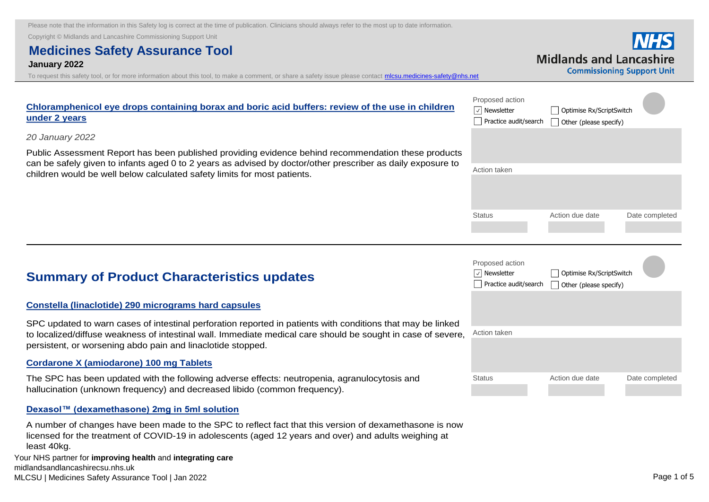Copyright © Midlands and Lancashire Commissioning Support Unit

# **Medicines Safety Assurance Tool**

#### **January 2022**

To request this safety tool, or for more information about this tool, to make a comment, or share a safety issue please contact *mlcsu.medicines-safety@nhs.net* 

|                                  | <b>NHS</b>                        |
|----------------------------------|-----------------------------------|
| <i>l</i> lidlands and Lancashire |                                   |
|                                  | <b>Commissioning Support Unit</b> |

| Chloramphenicol eye drops containing borax and boric acid buffers: review of the use in children<br>under 2 years                                                                       | Proposed action<br>$\vert \vee \vert$ Newsletter<br>Practice audit/search | Optimise Rx/ScriptSwitch<br>Other (please specify) |  |
|-----------------------------------------------------------------------------------------------------------------------------------------------------------------------------------------|---------------------------------------------------------------------------|----------------------------------------------------|--|
| 20 January 2022                                                                                                                                                                         |                                                                           |                                                    |  |
| Public Assessment Report has been published providing evidence behind recommendation these products                                                                                     |                                                                           |                                                    |  |
| can be safely given to infants aged 0 to 2 years as advised by doctor/other prescriber as daily exposure to<br>children would be well below calculated safety limits for most patients. | Action taken                                                              |                                                    |  |
|                                                                                                                                                                                         |                                                                           |                                                    |  |
|                                                                                                                                                                                         |                                                                           |                                                    |  |

#### **[Constella \(linaclotide\) 290 micrograms hard capsules](https://nice.us8.list-manage.com/track/click?u=7864f766b10b8edd18f19aa56&id=ee7c51e5d1&e=bb4189a0f3)**

SPC updated to warn cases of intestinal perforation reported in patients with conditions that may be linked to localized/diffuse weakness of intestinal wall. Immediate medical care should be sought in case of severe **Summary of Product Characteristics updates**<br> **Constella (linaclotide) 290 micrograms hard capsules**<br>
SPC updated to warn cases of intestinal perforation reported in patients<br>
to localized/diffuse weakness of intestinal wa

#### **Cordarone X (amiodarone) 100 mg Tablets**

[The SPC has been updated with the following adverse effects: neutropenia, agranulocytosis and](https://nice.us8.list-manage.com/track/click?u=7864f766b10b8edd18f19aa56&id=2a8fb76219&e=bb4189a0f3)  hallucination (unknown frequency) and decreased libido (common frequency).

#### **Dexasol™ (dexamethasone) 2mg in 5ml solution**

[A number of changes have been made to the SPC to reflect fact that this version of dexamethasone is now](https://nice.us8.list-manage.com/track/click?u=7864f766b10b8edd18f19aa56&id=312b159792&e=bb4189a0f3)  licensed for the treatment of COVID-19 in adolescents (aged 12 years and over) and adults weighing at least 40kg.

|    | Proposed action<br><b>Newsletter</b><br>Practice audit/search | Optimise Rx/ScriptSwitch<br>Other (please specify) |                |  |
|----|---------------------------------------------------------------|----------------------------------------------------|----------------|--|
|    | Action taken                                                  |                                                    |                |  |
| е, |                                                               |                                                    |                |  |
|    | <b>Status</b>                                                 | Action due date                                    | Date completed |  |

Status **Action due date** Date completed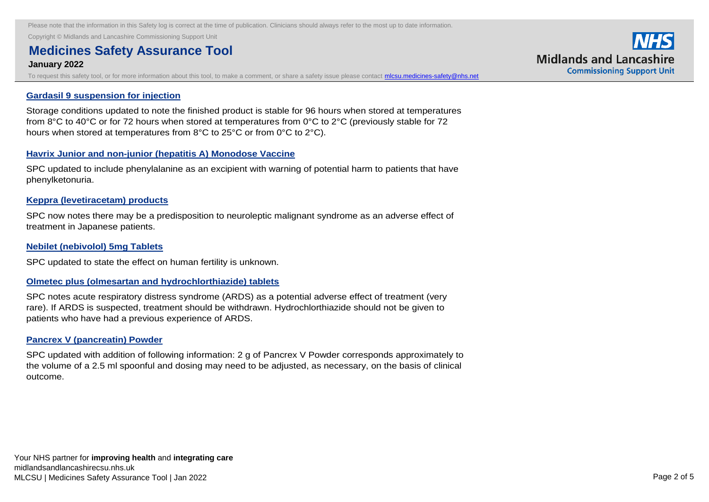Copyright © Midlands and Lancashire Commissioning Support Unit

# **Medicines Safety Assurance Tool and the SPC to reflect fact that the SPC to reflect fact that the SPC to reflect fact that the SPC to reflect fact that the SPC to reflect fact that the SPC to reflect fact that the SPC to**

### **January 2022 licensed for the treatment of COVID-19 in adolescents (aged 12 years and over) and adults weighing a**

To request this safety tool, or for more information about this tool, to make a comment, or share a safety issue please contact **micsu.medicines-safety@nhs.net** 

#### **Gardasil 9 suspension for injection**

[Storage conditions updated to note the finished product is stable for 96 hours when stored at temperatures](https://nice.us8.list-manage.com/track/click?u=7864f766b10b8edd18f19aa56&id=3c1c0b2cc7&e=bb4189a0f3)  from 8°C to 40°C or for 72 hours when stored at temperatures from 0°C to 2°C (previously stable for 72 hours when stored at temperatures from 8°C to 25°C or from 0°C to 2°C).

#### **Havrix Junior and non-junior (hepatitis A) Monodose Vaccine**

[SPC updated to include phenylalanine as an excipient with warning of potential harm to patients that have](https://nice.us8.list-manage.com/track/click?u=7864f766b10b8edd18f19aa56&id=a2a48abf7f&e=bb4189a0f3)  phenylketonuria.

#### **Keppra (levetiracetam) products**

[SPC now notes there may be a predisposition to neuroleptic malignant syndrome as an adverse effect of](https://nice.us8.list-manage.com/track/click?u=7864f766b10b8edd18f19aa56&id=3f17ab61eb&e=bb4189a0f3)  treatment in Japanese patients.

#### **Nebilet (nebivolol) 5mg Tablets**

[SPC updated to state the effect on human fertility is unknown.](https://nice.us8.list-manage.com/track/click?u=7864f766b10b8edd18f19aa56&id=b4e31c1ac6&e=bb4189a0f3) 

#### **Olmetec plus (olmesartan and hydrochlorthiazide) tablets**

[SPC notes acute respiratory distress syndrome \(ARDS\) as a potential adverse effect of treatment \(very](https://nice.us8.list-manage.com/track/click?u=7864f766b10b8edd18f19aa56&id=2aa2ef9bc2&e=bb4189a0f3)  rare). If ARDS is suspected, treatment should be withdrawn. Hydrochlorthiazide should not be given to patients who have had a previous experience of ARDS.

#### **Pancrex V (pancreatin) Powder**

[SPC updated with addition of following information: 2 g of Pancrex V Powder corresponds approximately to](https://nice.us8.list-manage.com/track/click?u=7864f766b10b8edd18f19aa56&id=81cdc44c8e&e=bb4189a0f3)  the volume of a 2.5 ml spoonful and dosing may need to be adjusted, as necessary, on the basis of clinical outcome.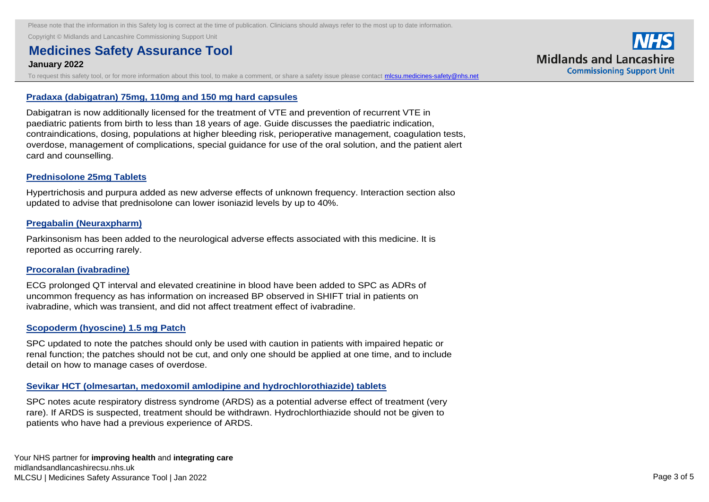Copyright © Midlands and Lancashire Commissioning Support Unit **Pancrex V (pancreatin) Powder** 

### **Medicines Safety Assurance Tool addition of Following information: 2 g of Pancrex V Powder corresponds approximately to Pancrex V Powder corresponds approximately to Pancrex V Powder corresponds approximately to Pancrex V January 2022** the volume of a 2.5 ml spoonful and dosing may need to be adjusted, as need to be adjusted, as need to

To request this safety tool, or for more information about this tool, to make a comment, or share a safety issue please contact **micsu.medicines-safety@nhs.net** 

#### **Pradaxa (dabigatran) 75mg, 110mg and 150 mg hard capsules**

Dabigatran is now additionally licensed for the treatment of VTE and prevention of recurrent VTE in paediatric patients from birth to less than 18 years of age. Guide discusses the paediatric indication, [contraindications, dosing, populations at higher bleeding risk, perioperative management, coagulation tests,](https://nice.us8.list-manage.com/track/click?u=7864f766b10b8edd18f19aa56&id=0d95315e87&e=bb4189a0f3)  overdose, management of complications, special guidance for use of the oral solution, and the patient alert card and counselling.

#### **Prednisolone 25mg Tablets**

[Hypertrichosis and purpura added as new adverse effects of unknown frequency. Interaction section also](https://nice.us8.list-manage.com/track/click?u=7864f766b10b8edd18f19aa56&id=2ec81eb071&e=bb4189a0f3)  updated to advise that prednisolone can lower isoniazid levels by up to 40%.

#### **Pregabalin (Neuraxpharm)**

[Parkinsonism has been added to the neurological adverse effects associated with this medicine. It is](https://nice.us8.list-manage.com/track/click?u=7864f766b10b8edd18f19aa56&id=d01921516a&e=bb4189a0f3)  reported as occurring rarely.

#### **Procoralan (ivabradine)**

[ECG prolonged QT interval and elevated creatinine in blood have been added to SPC as ADRs of](https://nice.us8.list-manage.com/track/click?u=7864f766b10b8edd18f19aa56&id=2474078114&e=bb4189a0f3)  uncommon frequency as has information on increased BP observed in SHIFT trial in patients on ivabradine, which was transient, and did not affect treatment effect of ivabradine.

#### **Scopoderm (hyoscine) 1.5 mg Patch**

SPC updated to note the patches should only be used with caution in patients with impaired hepatic or [renal function; the patches should not be cut, and only one should be applied at one time, and to include](https://nice.us8.list-manage.com/track/click?u=7864f766b10b8edd18f19aa56&id=b6a6c00605&e=bb4189a0f3)  detail on how to manage cases of overdose.

#### **Sevikar HCT (olmesartan, medoxomil amlodipine and hydrochlorothiazide) tablets**

[SPC notes acute respiratory distress syndrome \(ARDS\) as a potential adverse effect of treatment \(very](https://nice.us8.list-manage.com/track/click?u=7864f766b10b8edd18f19aa56&id=2acaa2dc20&e=bb4189a0f3)  rare). If ARDS is suspected, treatment should be withdrawn. Hydrochlorthiazide should not be given to patients who have had a previous experience of ARDS.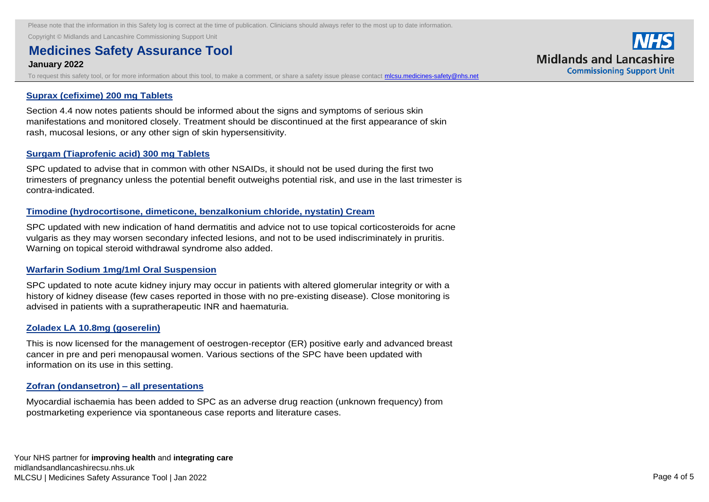**Copyright © Midlands and Lancashire Commissioning Support Unit Security and the and hydrochlorothian and hydrochlorothiaside and hydrochlorothiaside and hydrochlorothiaside and hydrochlorothiaside and hydrochlorothiasid** 

### **Medicines Safety Assurance Tool and adverse effect of the control of the potential adverse effect of the control of treatment (very syndrome (very syndrome (very syndrome (very syndrome of treatment (very syndrome of trea January 2022** rare (1992). If ARDS is suspected, treatment should be withdrawn. Hydrochlorthiazide should not be given to the given to the given to the given to the given to the given to the given to the given to the give

To request this safety tool, or for more information about this tool, to make a comment, or share a safety issue please contact *micsu.medicines-safety@nhs.net* 

#### **Suprax (cefixime) 200 mg Tablets**

[Section 4.4 now notes patients should be informed about the signs and symptoms of serious skin](https://nice.us8.list-manage.com/track/click?u=7864f766b10b8edd18f19aa56&id=2be3ad434b&e=bb4189a0f3)  manifestations and monitored closely. Treatment should be discontinued at the first appearance of skin rash, mucosal lesions, or any other sign of skin hypersensitivity.

#### **Surgam (Tiaprofenic acid) 300 mg Tablets**

SPC updated to advise that in common with other NSAIDs, it should not be used during the first two [trimesters of pregnancy unless the potential benefit outweighs potential risk, and use in the last trimester is](https://nice.us8.list-manage.com/track/click?u=7864f766b10b8edd18f19aa56&id=6746f7469c&e=bb4189a0f3)  contra-indicated.

#### **Timodine (hydrocortisone, dimeticone, benzalkonium chloride, nystatin) Cream**

[SPC updated with new indication of hand dermatitis and advice not to use topical corticosteroids for acne](https://nice.us8.list-manage.com/track/click?u=7864f766b10b8edd18f19aa56&id=44a3f688ac&e=bb4189a0f3)  vulgaris as they may worsen secondary infected lesions, and not to be used indiscriminately in pruritis. Warning on topical steroid withdrawal syndrome also added.

#### **Warfarin Sodium 1mg/1ml Oral Suspension**

SPC updated to note acute kidney injury may occur in patients with altered glomerular integrity or with a [history of kidney disease \(few cases reported in those with no pre-existing disease\). Close monitoring is](https://nice.us8.list-manage.com/track/click?u=7864f766b10b8edd18f19aa56&id=0cc54d89e4&e=bb4189a0f3)  advised in patients with a supratherapeutic INR and haematuria.

#### **Zoladex LA 10.8mg (goserelin)**

[This is now licensed for the management of oestrogen-receptor \(ER\) positive early and advanced breast](https://nice.us8.list-manage.com/track/click?u=7864f766b10b8edd18f19aa56&id=4f76e124ab&e=bb4189a0f3)  cancer in pre and peri menopausal women. Various sections of the SPC have been updated with information on its use in this setting.

#### **Zofran (ondansetron) – all presentations**

[Myocardial ischaemia has been added to SPC as an adverse drug reaction \(unknown frequency\) from](https://nice.us8.list-manage.com/track/click?u=7864f766b10b8edd18f19aa56&id=e2d0f297f4&e=bb4189a0f3)  postmarketing experience via spontaneous case reports and literature cases.